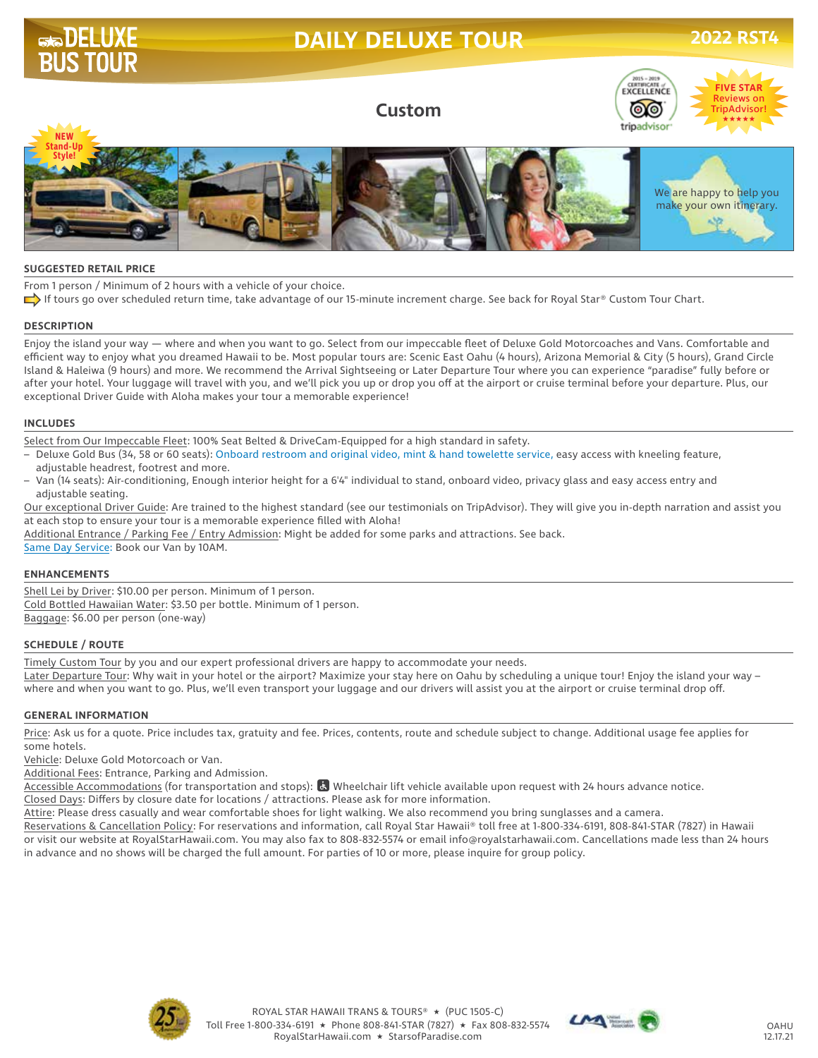# **DAILY DELUXE TOUR 2022 RST4**

**FIVE STAR** Reviews on **TripAdvisor!** 



**Custom**



#### **SUGGESTED RETAIL PRICE**

From 1 person / Minimum of 2 hours with a vehicle of your choice.

If tours go over scheduled return time, take advantage of our 15-minute increment charge. See back for Royal Star® Custom Tour Chart.

#### **DESCRIPTION**

Enjoy the island your way — where and when you want to go. Select from our impeccable fleet of Deluxe Gold Motorcoaches and Vans. Comfortable and efficient way to enjoy what you dreamed Hawaii to be. Most popular tours are: Scenic East Oahu (4 hours), Arizona Memorial & City (5 hours), Grand Circle Island & Haleiwa (9 hours) and more. We recommend the Arrival Sightseeing or Later Departure Tour where you can experience "paradise" fully before or after your hotel. Your luggage will travel with you, and we'll pick you up or drop you off at the airport or cruise terminal before your departure. Plus, our exceptional Driver Guide with Aloha makes your tour a memorable experience!

#### **INCLUDES**

Select from Our Impeccable Fleet: 100% Seat Belted & DriveCam-Equipped for a high standard in safety.

– Deluxe Gold Bus (34, 58 or 60 seats): Onboard restroom and original video, mint & hand towelette service, easy access with kneeling feature, adjustable headrest, footrest and more.

– Van (14 seats): Air-conditioning, Enough interior height for a 6'4" individual to stand, onboard video, privacy glass and easy access entry and adjustable seating.

Our exceptional Driver Guide: Are trained to the highest standard (see our testimonials on TripAdvisor). They will give you in-depth narration and assist you at each stop to ensure your tour is a memorable experience filled with Aloha!

Additional Entrance / Parking Fee / Entry Admission: Might be added for some parks and attractions. See back.

Same Day Service: Book our Van by 10AM.

### **ENHANCEMENTS**

Shell Lei by Driver: \$10.00 per person. Minimum of 1 person. Cold Bottled Hawaiian Water: \$3.50 per bottle. Minimum of 1 person. Baggage: \$6.00 per person (one-way)

### **SCHEDULE / ROUTE**

Timely Custom Tour by you and our expert professional drivers are happy to accommodate your needs. Later Departure Tour: Why wait in your hotel or the airport? Maximize your stay here on Oahu by scheduling a unique tour! Enjoy the island your way – where and when you want to go. Plus, we'll even transport your luggage and our drivers will assist you at the airport or cruise terminal drop off.

#### **GENERAL INFORMATION**

Price: Ask us for a quote. Price includes tax, gratuity and fee. Prices, contents, route and schedule subject to change. Additional usage fee applies for some hotels.

Vehicle: Deluxe Gold Motorcoach or Van.

Additional Fees: Entrance, Parking and Admission.

Accessible Accommodations (for transportation and stops): & Wheelchair lift vehicle available upon request with 24 hours advance notice.

Closed Days: Differs by closure date for locations / attractions. Please ask for more information.

Attire: Please dress casually and wear comfortable shoes for light walking. We also recommend you bring sunglasses and a camera.

Reservations & Cancellation Policy: For reservations and information, call Royal Star Hawaii® toll free at 1-800-334-6191, 808-841-STAR (7827) in Hawaii or visit our website at RoyalStarHawaii.com. You may also fax to 808-832-5574 or email info@royalstarhawaii.com. Cancellations made less than 24 hours in advance and no shows will be charged the full amount. For parties of 10 or more, please inquire for group policy.